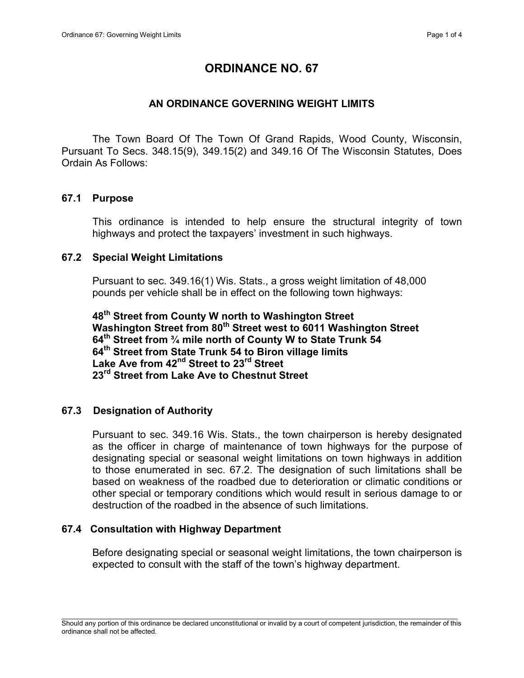# ORDINANCE NO. 67

## AN ORDINANCE GOVERNING WEIGHT LIMITS

The Town Board Of The Town Of Grand Rapids, Wood County, Wisconsin, Pursuant To Secs. 348.15(9), 349.15(2) and 349.16 Of The Wisconsin Statutes, Does Ordain As Follows:

## 67.1 Purpose

This ordinance is intended to help ensure the structural integrity of town highways and protect the taxpayers' investment in such highways.

#### 67.2 Special Weight Limitations

Pursuant to sec. 349.16(1) Wis. Stats., a gross weight limitation of 48,000 pounds per vehicle shall be in effect on the following town highways:

48<sup>th</sup> Street from County W north to Washington Street Washington Street from 80<sup>th</sup> Street west to 6011 Washington Street 64th Street from ¾ mile north of County W to State Trunk 54 64<sup>th</sup> Street from State Trunk 54 to Biron village limits Lake Ave from 42<sup>nd</sup> Street to 23<sup>rd</sup> Street 23<sup>rd</sup> Street from Lake Ave to Chestnut Street

## 67.3 Designation of Authority

Pursuant to sec. 349.16 Wis. Stats., the town chairperson is hereby designated as the officer in charge of maintenance of town highways for the purpose of designating special or seasonal weight limitations on town highways in addition to those enumerated in sec. 67.2. The designation of such limitations shall be based on weakness of the roadbed due to deterioration or climatic conditions or other special or temporary conditions which would result in serious damage to or destruction of the roadbed in the absence of such limitations.

## 67.4 Consultation with Highway Department

Before designating special or seasonal weight limitations, the town chairperson is expected to consult with the staff of the town's highway department.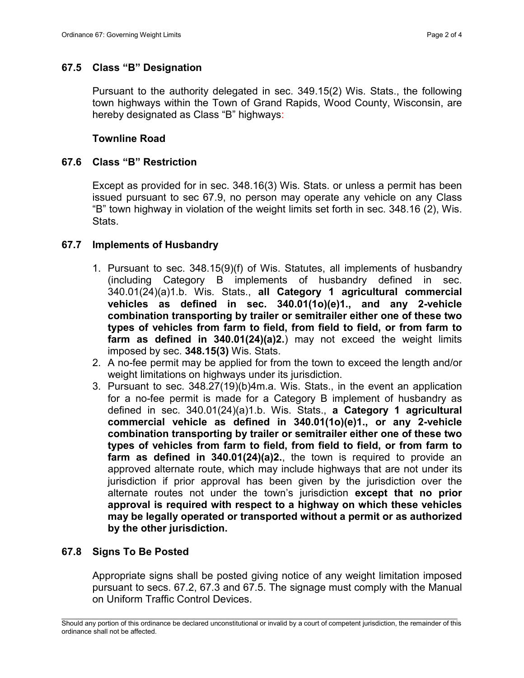## 67.5 Class "B" Designation

Pursuant to the authority delegated in sec. 349.15(2) Wis. Stats., the following town highways within the Town of Grand Rapids, Wood County, Wisconsin, are hereby designated as Class "B" highways:

#### Townline Road

#### 67.6 Class "B" Restriction

Except as provided for in sec. 348.16(3) Wis. Stats. or unless a permit has been issued pursuant to sec 67.9, no person may operate any vehicle on any Class "B" town highway in violation of the weight limits set forth in sec. 348.16 (2), Wis. Stats.

#### 67.7 Implements of Husbandry

- 1. Pursuant to sec. 348.15(9)(f) of Wis. Statutes, all implements of husbandry (including Category B implements of husbandry defined in sec. 340.01(24)(a)1.b. Wis. Stats., all Category 1 agricultural commercial vehicles as defined in sec. 340.01(1o)(e)1., and any 2-vehicle combination transporting by trailer or semitrailer either one of these two types of vehicles from farm to field, from field to field, or from farm to farm as defined in 340.01(24)(a)2.) may not exceed the weight limits imposed by sec. 348.15(3) Wis. Stats.
- 2. A no-fee permit may be applied for from the town to exceed the length and/or weight limitations on highways under its jurisdiction.
- 3. Pursuant to sec. 348.27(19)(b)4m.a. Wis. Stats., in the event an application for a no-fee permit is made for a Category B implement of husbandry as defined in sec. 340.01(24)(a)1.b. Wis. Stats., a Category 1 agricultural commercial vehicle as defined in 340.01(1o)(e)1., or any 2-vehicle combination transporting by trailer or semitrailer either one of these two types of vehicles from farm to field, from field to field, or from farm to farm as defined in 340.01(24)(a)2., the town is required to provide an approved alternate route, which may include highways that are not under its jurisdiction if prior approval has been given by the jurisdiction over the alternate routes not under the town's jurisdiction except that no prior approval is required with respect to a highway on which these vehicles may be legally operated or transported without a permit or as authorized by the other jurisdiction.

#### 67.8 Signs To Be Posted

Appropriate signs shall be posted giving notice of any weight limitation imposed pursuant to secs. 67.2, 67.3 and 67.5. The signage must comply with the Manual on Uniform Traffic Control Devices.

\_\_\_\_\_\_\_\_\_\_\_\_\_\_\_\_\_\_\_\_\_\_\_\_\_\_\_\_\_\_\_\_\_\_\_\_\_\_\_\_\_\_\_\_\_\_\_\_\_\_\_\_\_\_\_\_\_\_\_\_\_\_\_\_\_\_\_\_\_\_\_\_\_\_\_\_\_\_\_\_\_\_\_\_\_\_\_\_\_\_\_\_\_\_\_\_\_\_\_\_\_\_\_\_ Should any portion of this ordinance be declared unconstitutional or invalid by a court of competent jurisdiction, the remainder of this ordinance shall not be affected.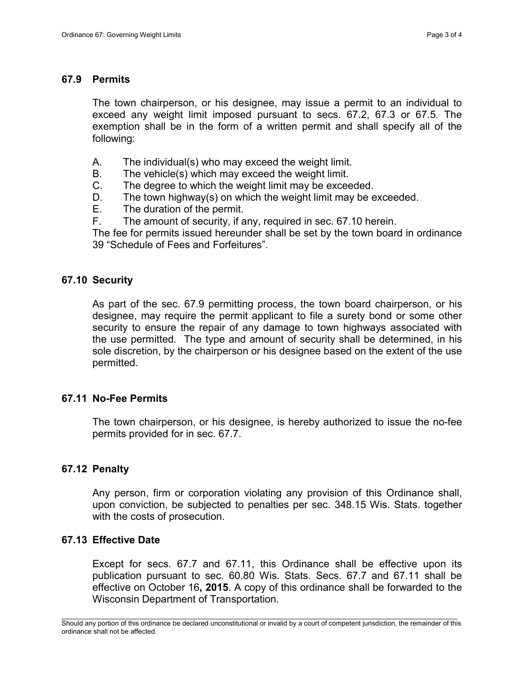#### 67.9 Permits

The town chairperson, or his designee, may issue a permit to an individual to exceed any weight limit imposed pursuant to secs. 67.2, 67.3 or 67.5. The exemption shall be in the form of a written permit and shall specify all of the following:

- A. The individual(s) who may exceed the weight limit.
- B. The vehicle(s) which may exceed the weight limit.
- C. The degree to which the weight limit may be exceeded.
- D. The town highway(s) on which the weight limit may be exceeded.
- E. The duration of the permit.
- F. The amount of security, if any, required in sec. 67.10 herein.

The fee for permits issued hereunder shall be set by the town board in ordinance 39 "Schedule of Fees and Forfeitures".

#### 67.10 Security

As part of the sec. 67.9 permitting process, the town board chairperson, or his designee, may require the permit applicant to file a surety bond or some other security to ensure the repair of any damage to town highways associated with the use permitted. The type and amount of security shall be determined, in his sole discretion, by the chairperson or his designee based on the extent of the use permitted.

#### 67.11 No-Fee Permits

The town chairperson, or his designee, is hereby authorized to issue the no-fee permits provided for in sec. 67.7.

## 67.12 Penalty

Any person, firm or corporation violating any provision of this Ordinance shall, upon conviction, be subjected to penalties per sec. 348.15 Wis. Stats. together with the costs of prosecution.

#### 67.13 Effective Date

Except for secs. 67.7 and 67.11, this Ordinance shall be effective upon its publication pursuant to sec. 60.80 Wis. Stats. Secs. 67.7 and 67.11 shall be effective on October 16, 2015. A copy of this ordinance shall be forwarded to the Wisconsin Department of Transportation.

\_\_\_\_\_\_\_\_\_\_\_\_\_\_\_\_\_\_\_\_\_\_\_\_\_\_\_\_\_\_\_\_\_\_\_\_\_\_\_\_\_\_\_\_\_\_\_\_\_\_\_\_\_\_\_\_\_\_\_\_\_\_\_\_\_\_\_\_\_\_\_\_\_\_\_\_\_\_\_\_\_\_\_\_\_\_\_\_\_\_\_\_\_\_\_\_\_\_\_\_\_\_\_\_ Should any portion of this ordinance be declared unconstitutional or invalid by a court of competent jurisdiction, the remainder of this ordinance shall not be affected.